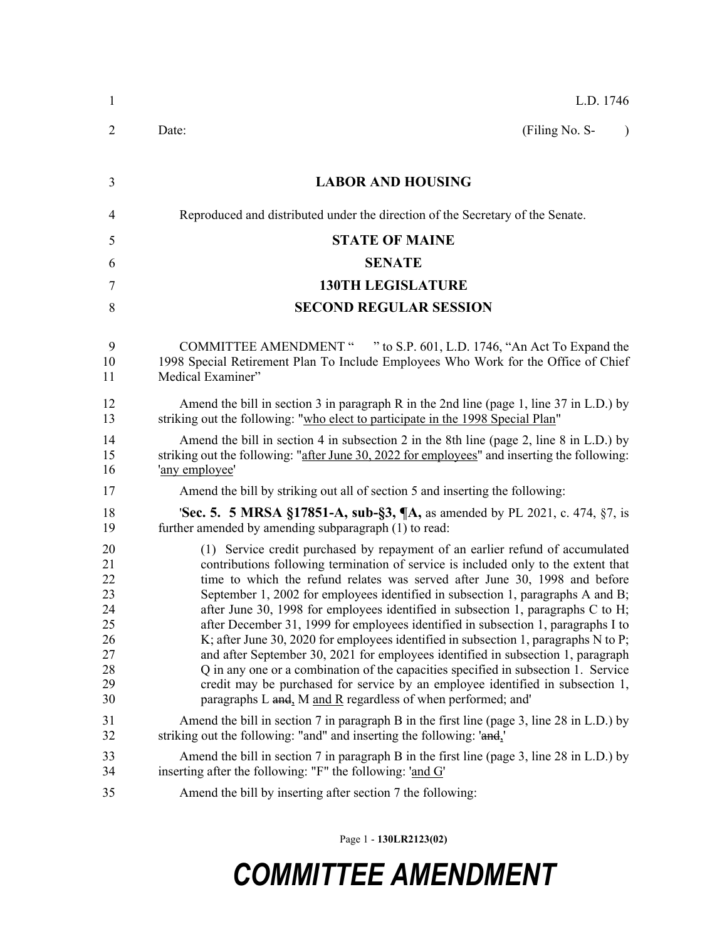| $\mathbf{1}$                                                   | L.D. 1746                                                                                                                                                                                                                                                                                                                                                                                                                                                                                                                                                                                                                                                                                                                                                                                                                                                                                                                             |  |  |
|----------------------------------------------------------------|---------------------------------------------------------------------------------------------------------------------------------------------------------------------------------------------------------------------------------------------------------------------------------------------------------------------------------------------------------------------------------------------------------------------------------------------------------------------------------------------------------------------------------------------------------------------------------------------------------------------------------------------------------------------------------------------------------------------------------------------------------------------------------------------------------------------------------------------------------------------------------------------------------------------------------------|--|--|
| 2                                                              | (Filing No. S-<br>Date:<br>$\lambda$                                                                                                                                                                                                                                                                                                                                                                                                                                                                                                                                                                                                                                                                                                                                                                                                                                                                                                  |  |  |
| 3                                                              | <b>LABOR AND HOUSING</b>                                                                                                                                                                                                                                                                                                                                                                                                                                                                                                                                                                                                                                                                                                                                                                                                                                                                                                              |  |  |
| 4                                                              | Reproduced and distributed under the direction of the Secretary of the Senate.                                                                                                                                                                                                                                                                                                                                                                                                                                                                                                                                                                                                                                                                                                                                                                                                                                                        |  |  |
| 5                                                              | <b>STATE OF MAINE</b>                                                                                                                                                                                                                                                                                                                                                                                                                                                                                                                                                                                                                                                                                                                                                                                                                                                                                                                 |  |  |
| 6                                                              | <b>SENATE</b>                                                                                                                                                                                                                                                                                                                                                                                                                                                                                                                                                                                                                                                                                                                                                                                                                                                                                                                         |  |  |
| 7                                                              | <b>130TH LEGISLATURE</b>                                                                                                                                                                                                                                                                                                                                                                                                                                                                                                                                                                                                                                                                                                                                                                                                                                                                                                              |  |  |
| 8                                                              | <b>SECOND REGULAR SESSION</b>                                                                                                                                                                                                                                                                                                                                                                                                                                                                                                                                                                                                                                                                                                                                                                                                                                                                                                         |  |  |
| 9<br>10<br>11                                                  | COMMITTEE AMENDMENT " " to S.P. 601, L.D. 1746, "An Act To Expand the<br>1998 Special Retirement Plan To Include Employees Who Work for the Office of Chief<br>Medical Examiner"                                                                                                                                                                                                                                                                                                                                                                                                                                                                                                                                                                                                                                                                                                                                                      |  |  |
| 12<br>13                                                       | Amend the bill in section 3 in paragraph R in the 2nd line (page 1, line 37 in L.D.) by<br>striking out the following: "who elect to participate in the 1998 Special Plan"                                                                                                                                                                                                                                                                                                                                                                                                                                                                                                                                                                                                                                                                                                                                                            |  |  |
| 14<br>15<br>16                                                 | Amend the bill in section 4 in subsection 2 in the 8th line (page 2, line 8 in L.D.) by<br>striking out the following: "after June 30, 2022 for employees" and inserting the following:<br>'any employee'                                                                                                                                                                                                                                                                                                                                                                                                                                                                                                                                                                                                                                                                                                                             |  |  |
| 17                                                             | Amend the bill by striking out all of section 5 and inserting the following:                                                                                                                                                                                                                                                                                                                                                                                                                                                                                                                                                                                                                                                                                                                                                                                                                                                          |  |  |
| 18<br>19                                                       | <b>Sec. 5. 5 MRSA §17851-A, sub-§3, ¶A, as amended by PL 2021, c. 474, §7, is</b><br>further amended by amending subparagraph (1) to read:                                                                                                                                                                                                                                                                                                                                                                                                                                                                                                                                                                                                                                                                                                                                                                                            |  |  |
| 20<br>21<br>22<br>23<br>24<br>25<br>26<br>27<br>28<br>29<br>30 | (1) Service credit purchased by repayment of an earlier refund of accumulated<br>contributions following termination of service is included only to the extent that<br>time to which the refund relates was served after June 30, 1998 and before<br>September 1, 2002 for employees identified in subsection 1, paragraphs A and B;<br>after June 30, 1998 for employees identified in subsection 1, paragraphs C to H;<br>after December 31, 1999 for employees identified in subsection 1, paragraphs I to<br>K; after June 30, 2020 for employees identified in subsection 1, paragraphs $N$ to $P$ ;<br>and after September 30, 2021 for employees identified in subsection 1, paragraph<br>Q in any one or a combination of the capacities specified in subsection 1. Service<br>credit may be purchased for service by an employee identified in subsection 1,<br>paragraphs L and, M and R regardless of when performed; and' |  |  |
| 31<br>32                                                       | Amend the bill in section 7 in paragraph B in the first line (page 3, line 28 in L.D.) by<br>striking out the following: "and" and inserting the following: 'and,'                                                                                                                                                                                                                                                                                                                                                                                                                                                                                                                                                                                                                                                                                                                                                                    |  |  |
| 33<br>34                                                       | Amend the bill in section 7 in paragraph B in the first line (page 3, line 28 in L.D.) by<br>inserting after the following: "F" the following: 'and G'                                                                                                                                                                                                                                                                                                                                                                                                                                                                                                                                                                                                                                                                                                                                                                                |  |  |
| 35                                                             | Amend the bill by inserting after section 7 the following:                                                                                                                                                                                                                                                                                                                                                                                                                                                                                                                                                                                                                                                                                                                                                                                                                                                                            |  |  |

Page 1 - **130LR2123(02)**

# *COMMITTEE AMENDMENT*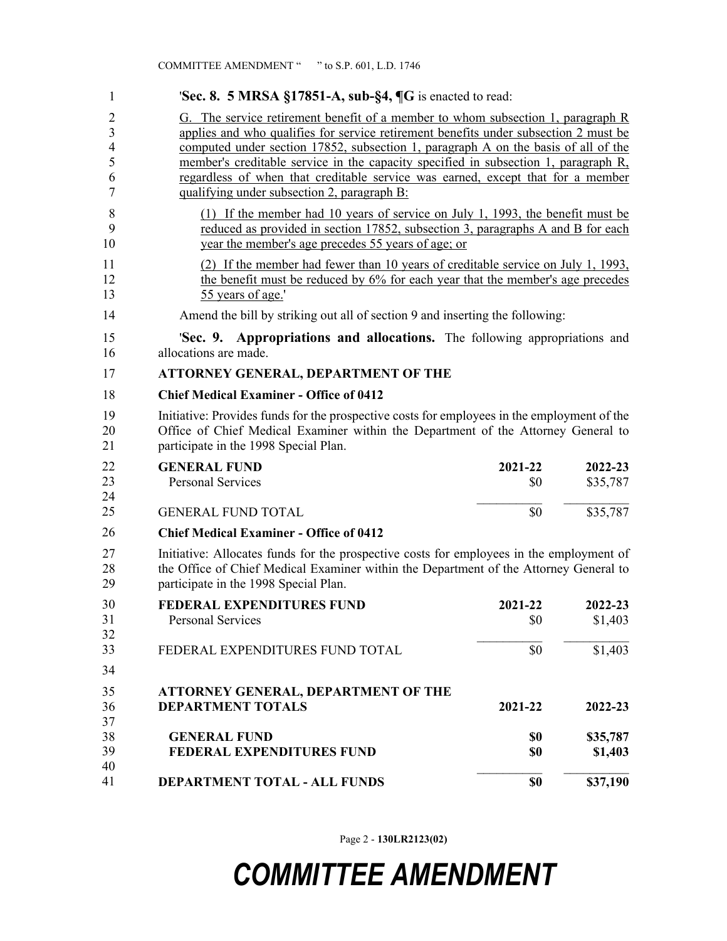| 1                                            | <b>Sec. 8. 5 MRSA §17851-A, sub-§4, <math>\P G</math></b> is enacted to read:                                                                                                                                                                                                                                                                                                                                                                                                          |                |                     |  |
|----------------------------------------------|----------------------------------------------------------------------------------------------------------------------------------------------------------------------------------------------------------------------------------------------------------------------------------------------------------------------------------------------------------------------------------------------------------------------------------------------------------------------------------------|----------------|---------------------|--|
| 2<br>3<br>$\overline{4}$<br>5<br>6<br>$\tau$ | G. The service retirement benefit of a member to whom subsection 1, paragraph R<br>applies and who qualifies for service retirement benefits under subsection 2 must be<br>computed under section 17852, subsection 1, paragraph A on the basis of all of the<br>member's creditable service in the capacity specified in subsection 1, paragraph R,<br>regardless of when that creditable service was earned, except that for a member<br>qualifying under subsection 2, paragraph B: |                |                     |  |
| 8<br>9<br>10                                 | (1) If the member had 10 years of service on July 1, 1993, the benefit must be<br>reduced as provided in section 17852, subsection 3, paragraphs A and B for each<br>year the member's age precedes 55 years of age; or                                                                                                                                                                                                                                                                |                |                     |  |
| 11<br>12<br>13                               | (2) If the member had fewer than 10 years of creditable service on July 1, 1993,<br>the benefit must be reduced by 6% for each year that the member's age precedes<br>55 years of age.'                                                                                                                                                                                                                                                                                                |                |                     |  |
| 14                                           | Amend the bill by striking out all of section 9 and inserting the following:                                                                                                                                                                                                                                                                                                                                                                                                           |                |                     |  |
| 15<br>16                                     | <b>Sec. 9. Appropriations and allocations.</b> The following appropriations and<br>allocations are made.                                                                                                                                                                                                                                                                                                                                                                               |                |                     |  |
| 17                                           | <b>ATTORNEY GENERAL, DEPARTMENT OF THE</b>                                                                                                                                                                                                                                                                                                                                                                                                                                             |                |                     |  |
| 18                                           | <b>Chief Medical Examiner - Office of 0412</b>                                                                                                                                                                                                                                                                                                                                                                                                                                         |                |                     |  |
| 19<br>20<br>21                               | Initiative: Provides funds for the prospective costs for employees in the employment of the<br>Office of Chief Medical Examiner within the Department of the Attorney General to<br>participate in the 1998 Special Plan.                                                                                                                                                                                                                                                              |                |                     |  |
| 22<br>23<br>24                               | <b>GENERAL FUND</b><br><b>Personal Services</b>                                                                                                                                                                                                                                                                                                                                                                                                                                        | 2021-22<br>\$0 | 2022-23<br>\$35,787 |  |
| 25                                           | <b>GENERAL FUND TOTAL</b>                                                                                                                                                                                                                                                                                                                                                                                                                                                              | \$0            | \$35,787            |  |
| 26                                           | <b>Chief Medical Examiner - Office of 0412</b>                                                                                                                                                                                                                                                                                                                                                                                                                                         |                |                     |  |
| 27<br>28<br>29                               | Initiative: Allocates funds for the prospective costs for employees in the employment of<br>the Office of Chief Medical Examiner within the Department of the Attorney General to<br>participate in the 1998 Special Plan.                                                                                                                                                                                                                                                             |                |                     |  |
| 30<br>31<br>32                               | <b>FEDERAL EXPENDITURES FUND</b><br>Personal Services                                                                                                                                                                                                                                                                                                                                                                                                                                  | 2021-22<br>\$0 | 2022-23<br>\$1,403  |  |
| 33<br>34                                     | FEDERAL EXPENDITURES FUND TOTAL                                                                                                                                                                                                                                                                                                                                                                                                                                                        | \$0            | \$1,403             |  |
| 35                                           | ATTORNEY GENERAL, DEPARTMENT OF THE                                                                                                                                                                                                                                                                                                                                                                                                                                                    |                |                     |  |
| 36<br>37                                     | <b>DEPARTMENT TOTALS</b>                                                                                                                                                                                                                                                                                                                                                                                                                                                               | 2021-22        | 2022-23             |  |
| 38<br>39<br>40                               | <b>GENERAL FUND</b><br><b>FEDERAL EXPENDITURES FUND</b>                                                                                                                                                                                                                                                                                                                                                                                                                                | \$0<br>\$0     | \$35,787<br>\$1,403 |  |
| 41                                           | DEPARTMENT TOTAL - ALL FUNDS                                                                                                                                                                                                                                                                                                                                                                                                                                                           | \$0            | \$37,190            |  |

Page 2 - **130LR2123(02)**

# *COMMITTEE AMENDMENT*